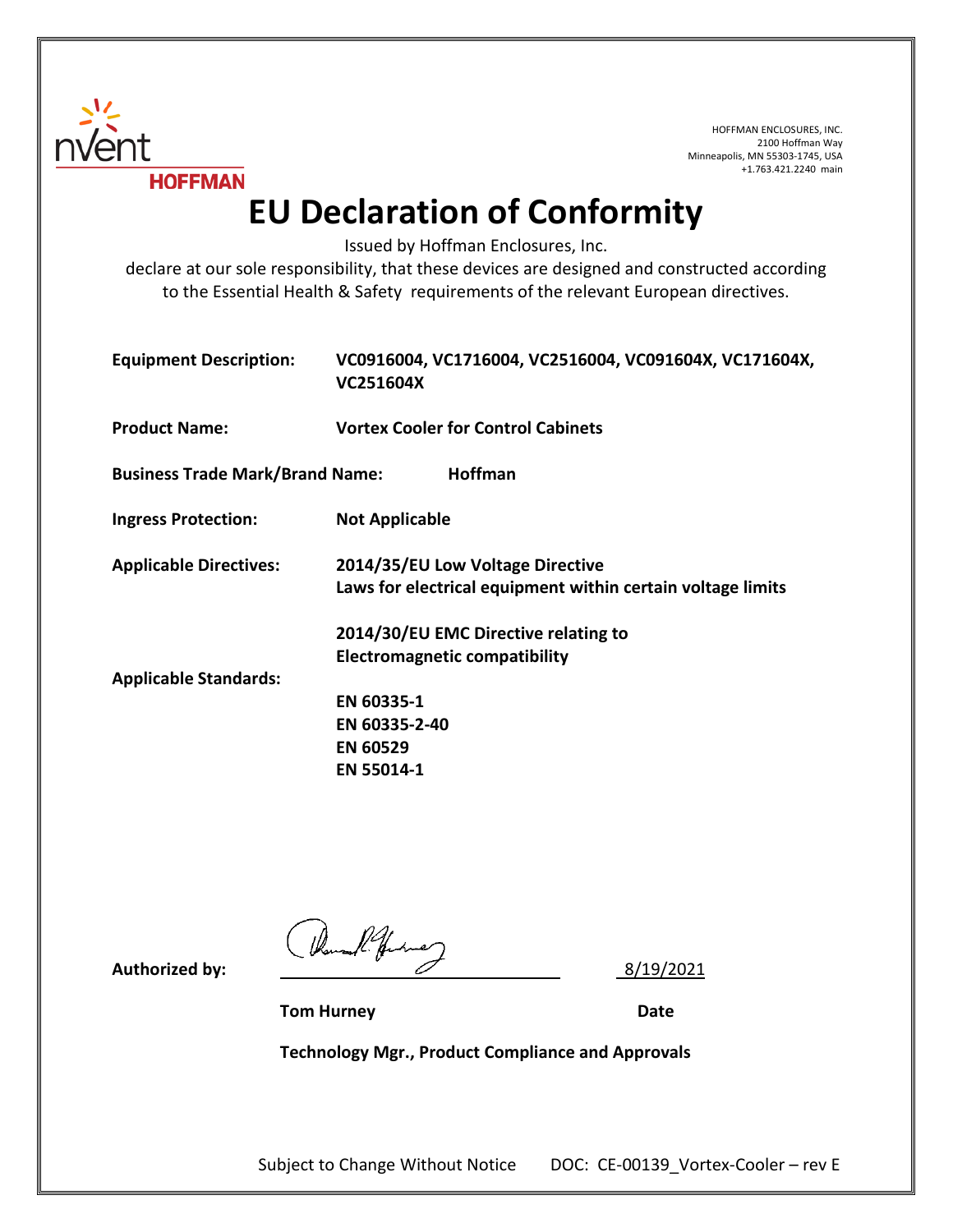

HOFFMAN ENCLOSURES, INC. 2100 Hoffman Way Minneapolis, MN 55303-1745, USA +1.763.421.2240 main

**EU Declaration of Conformity**

Issued by Hoffman Enclosures, Inc.

declare at our sole responsibility, that these devices are designed and constructed according to the Essential Health & Safety requirements of the relevant European directives.

| <b>Equipment Description:</b>          | VC0916004, VC1716004, VC2516004, VC091604X, VC171604X,<br>VC251604X                                         |
|----------------------------------------|-------------------------------------------------------------------------------------------------------------|
| <b>Product Name:</b>                   | <b>Vortex Cooler for Control Cabinets</b>                                                                   |
| <b>Business Trade Mark/Brand Name:</b> | <b>Hoffman</b>                                                                                              |
| <b>Ingress Protection:</b>             | <b>Not Applicable</b>                                                                                       |
| <b>Applicable Directives:</b>          | 2014/35/EU Low Voltage Directive<br>Laws for electrical equipment within certain voltage limits             |
| <b>Applicable Standards:</b>           | 2014/30/EU EMC Directive relating to<br><b>Electromagnetic compatibility</b><br>EN 60335-1<br>EN 60335-2-40 |
|                                        | <b>EN 60529</b><br>EN 55014-1                                                                               |

**Authorized by:** (*homal future*) 8/19/2021

**Tom Hurney Date**

**Technology Mgr., Product Compliance and Approvals**